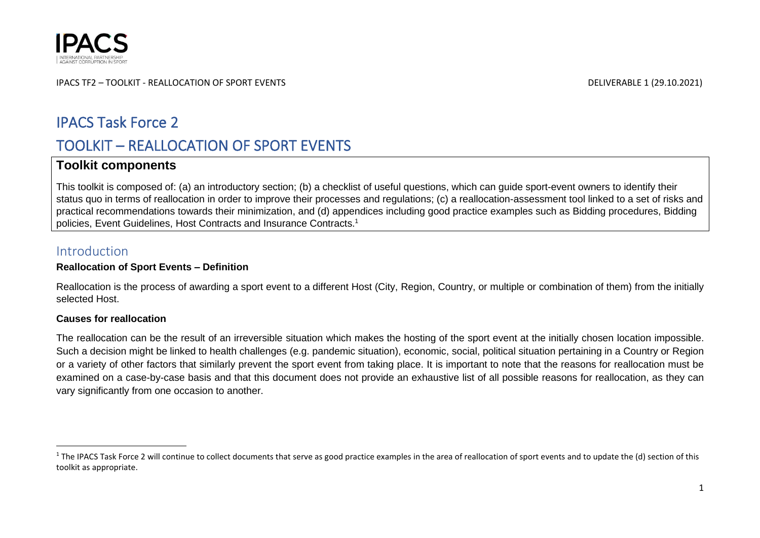

# IPACS Task Force 2

# TOOLKIT – REALLOCATION OF SPORT EVENTS

## **Toolkit components**

This toolkit is composed of: (a) an introductory section; (b) a checklist of useful questions, which can guide sport-event owners to identify their status quo in terms of reallocation in order to improve their processes and regulations; (c) a reallocation-assessment tool linked to a set of risks and practical recommendations towards their minimization, and (d) appendices including good practice examples such as Bidding procedures, Bidding policies, Event Guidelines, Host Contracts and Insurance Contracts. 1

## Introduction

## **Reallocation of Sport Events – Definition**

Reallocation is the process of awarding a sport event to a different Host (City, Region, Country, or multiple or combination of them) from the initially selected Host.

## **Causes for reallocation**

The reallocation can be the result of an irreversible situation which makes the hosting of the sport event at the initially chosen location impossible. Such a decision might be linked to health challenges (e.g. pandemic situation), economic, social, political situation pertaining in a Country or Region or a variety of other factors that similarly prevent the sport event from taking place. It is important to note that the reasons for reallocation must be examined on a case-by-case basis and that this document does not provide an exhaustive list of all possible reasons for reallocation, as they can vary significantly from one occasion to another.

<sup>&</sup>lt;sup>1</sup> The IPACS Task Force 2 will continue to collect documents that serve as good practice examples in the area of reallocation of sport events and to update the (d) section of this toolkit as appropriate.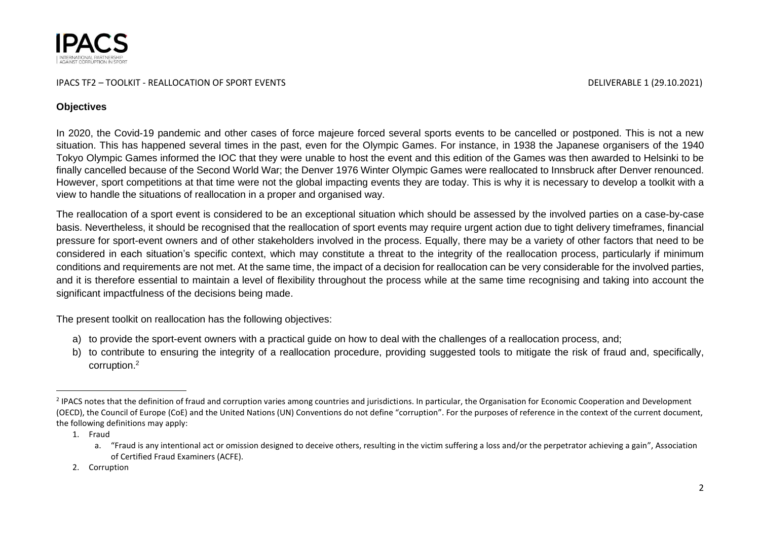

## **Objectives**

In 2020, the Covid-19 pandemic and other cases of force majeure forced several sports events to be cancelled or postponed. This is not a new situation. This has happened several times in the past, even for the Olympic Games. For instance, in 1938 the Japanese organisers of the 1940 Tokyo Olympic Games informed the IOC that they were unable to host the event and this edition of the Games was then awarded to Helsinki to be finally cancelled because of the Second World War; the Denver 1976 Winter Olympic Games were reallocated to Innsbruck after Denver renounced. However, sport competitions at that time were not the global impacting events they are today. This is why it is necessary to develop a toolkit with a view to handle the situations of reallocation in a proper and organised way.

The reallocation of a sport event is considered to be an exceptional situation which should be assessed by the involved parties on a case-by-case basis. Nevertheless, it should be recognised that the reallocation of sport events may require urgent action due to tight delivery timeframes, financial pressure for sport-event owners and of other stakeholders involved in the process. Equally, there may be a variety of other factors that need to be considered in each situation's specific context, which may constitute a threat to the integrity of the reallocation process, particularly if minimum conditions and requirements are not met. At the same time, the impact of a decision for reallocation can be very considerable for the involved parties, and it is therefore essential to maintain a level of flexibility throughout the process while at the same time recognising and taking into account the significant impactfulness of the decisions being made.

The present toolkit on reallocation has the following objectives:

- a) to provide the sport-event owners with a practical guide on how to deal with the challenges of a reallocation process, and;
- b) to contribute to ensuring the integrity of a reallocation procedure, providing suggested tools to mitigate the risk of fraud and, specifically, corruption. 2

1. Fraud

<sup>&</sup>lt;sup>2</sup> IPACS notes that the definition of fraud and corruption varies among countries and jurisdictions. In particular, the Organisation for Economic Cooperation and Development (OECD), the Council of Europe (CoE) and the United Nations (UN) Conventions do not define "corruption". For the purposes of reference in the context of the current document, the following definitions may apply:

a. "Fraud is any intentional act or omission designed to deceive others, resulting in the victim suffering a loss and/or the perpetrator achieving a gain", Association of Certified Fraud Examiners (ACFE).

<sup>2.</sup> Corruption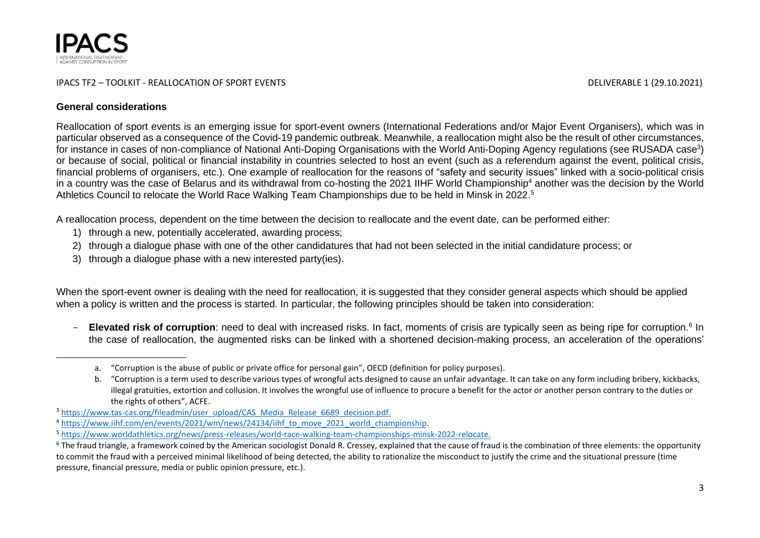

### **General considerations**

Reallocation of sport events is an emerging issue for sport-event owners (International Federations and/or Major Event Organisers), which was in particular observed as a consequence of the Covid-19 pandemic outbreak. Meanwhile, a reallocation might also be the result of other circumstances, for instance in cases of non-compliance of National Anti-Doping Organisations with the World Anti-Doping Agency regulations (see RUSADA case<sup>3</sup>) or because of social, political or financial instability in countries selected to host an event (such as a referendum against the event, political crisis, financial problems of organisers, etc.). One example of reallocation for the reasons of "safety and security issues" linked with a socio-political crisis in a country was the case of Belarus and its withdrawal from co-hosting the 2021 IIHF World Championship<sup>4</sup> another was the decision by the World Athletics Council to relocate the World Race Walking Team Championships due to be held in Minsk in 2022. 5

A reallocation process, dependent on the time between the decision to reallocate and the event date, can be performed either:

- 1) through a new, potentially accelerated, awarding process;
- 2) through a dialogue phase with one of the other candidatures that had not been selected in the initial candidature process; or
- 3) through a dialogue phase with a new interested party(ies).

When the sport-event owner is dealing with the need for reallocation, it is suggested that they consider general aspects which should be applied when a policy is written and the process is started. In particular, the following principles should be taken into consideration:

- Elevated risk of corruption: need to deal with increased risks. In fact, moments of crisis are typically seen as being ripe for corruption.<sup>6</sup> In the case of reallocation, the augmented risks can be linked with a shortened decision-making process, an acceleration of the operations'

a. "Corruption is the abuse of public or private office for personal gain", OECD (definition for policy purposes).

b. "Corruption is a term used to describe various types of wrongful acts designed to cause an unfair advantage. It can take on any form including bribery, kickbacks, illegal gratuities, extortion and collusion. It involves the wrongful use of influence to procure a benefit for the actor or another person contrary to the duties or the rights of others", ACFE.

<sup>&</sup>lt;sup>3</sup> [https://www.tas-cas.org/fileadmin/user\\_upload/CAS\\_Media\\_Release\\_6689\\_decision.pdf.](https://www.tas-cas.org/fileadmin/user_upload/CAS_Media_Release_6689_decision.pdf)

<sup>&</sup>lt;sup>4</sup> [https://www.iihf.com/en/events/2021/wm/news/24134/iihf\\_to\\_move\\_2021\\_world\\_championship.](https://www.iihf.com/en/events/2021/wm/news/24134/iihf_to_move_2021_world_championship)

<sup>5</sup> [https://www.worldathletics.org/news/press-releases/world-race-walking-team-championships-minsk-2022-relocate.](https://www.worldathletics.org/news/press-releases/world-race-walking-team-championships-minsk-2022-relocate)

<sup>&</sup>lt;sup>6</sup> The fraud triangle, a framework coined by the American sociologist Donald R. Cressey, explained that the cause of fraud is the combination of three elements: the opportunity to commit the fraud with a perceived minimal likelihood of being detected, the ability to rationalize the misconduct to justify the crime and the situational pressure (time pressure, financial pressure, media or public opinion pressure, etc.).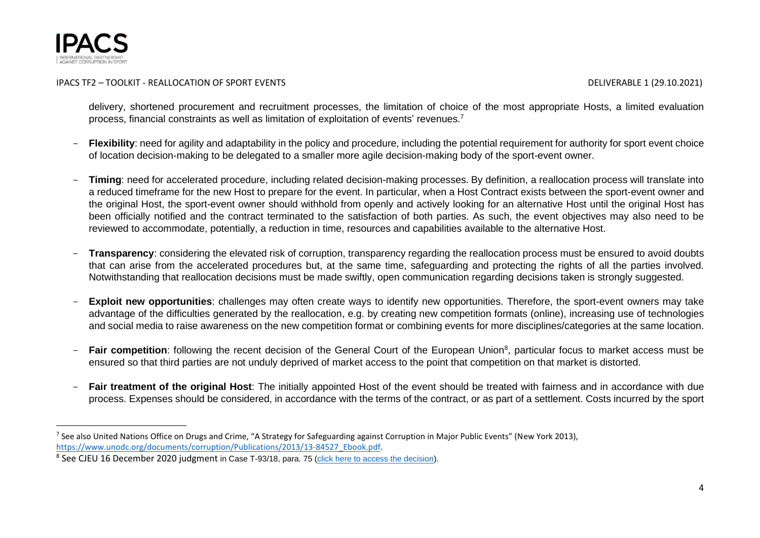

delivery, shortened procurement and recruitment processes, the limitation of choice of the most appropriate Hosts, a limited evaluation process, financial constraints as well as limitation of exploitation of events' revenues.<sup>7</sup>

- Flexibility: need for agility and adaptability in the policy and procedure, including the potential requirement for authority for sport event choice of location decision-making to be delegated to a smaller more agile decision-making body of the sport-event owner.
- **Timing**: need for accelerated procedure, including related decision-making processes. By definition, a reallocation process will translate into a reduced timeframe for the new Host to prepare for the event. In particular, when a Host Contract exists between the sport-event owner and the original Host, the sport-event owner should withhold from openly and actively looking for an alternative Host until the original Host has been officially notified and the contract terminated to the satisfaction of both parties. As such, the event objectives may also need to be reviewed to accommodate, potentially, a reduction in time, resources and capabilities available to the alternative Host.
- **Transparency**: considering the elevated risk of corruption, transparency regarding the reallocation process must be ensured to avoid doubts that can arise from the accelerated procedures but, at the same time, safeguarding and protecting the rights of all the parties involved. Notwithstanding that reallocation decisions must be made swiftly, open communication regarding decisions taken is strongly suggested.
- **Exploit new opportunities**: challenges may often create ways to identify new opportunities. Therefore, the sport-event owners may take advantage of the difficulties generated by the reallocation, e.g. by creating new competition formats (online), increasing use of technologies and social media to raise awareness on the new competition format or combining events for more disciplines/categories at the same location.
- Fair competition: following the recent decision of the General Court of the European Union<sup>8</sup>, particular focus to market access must be ensured so that third parties are not unduly deprived of market access to the point that competition on that market is distorted.
- Fair treatment of the original Host: The initially appointed Host of the event should be treated with fairness and in accordance with due process. Expenses should be considered, in accordance with the terms of the contract, or as part of a settlement. Costs incurred by the sport

<sup>&</sup>lt;sup>7</sup> See also United Nations Office on Drugs and Crime, "A Strategy for Safeguarding against Corruption in Major Public Events" (New York 2013), [https://www.unodc.org/documents/corruption/Publications/2013/13-84527\\_Ebook.pdf.](https://www.unodc.org/documents/corruption/Publications/2013/13-84527_Ebook.pdf)

<sup>&</sup>lt;sup>8</sup> See CJEU 16 December 2020 judgment in Case T-93/18, para. 75 (<u>click here to access the decision</u>).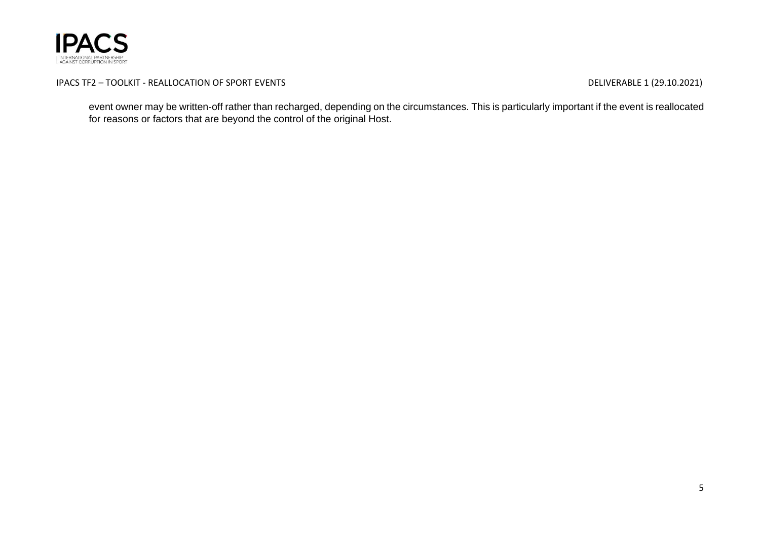

event owner may be written-off rather than recharged, depending on the circumstances. This is particularly important if the event is reallocated for reasons or factors that are beyond the control of the original Host.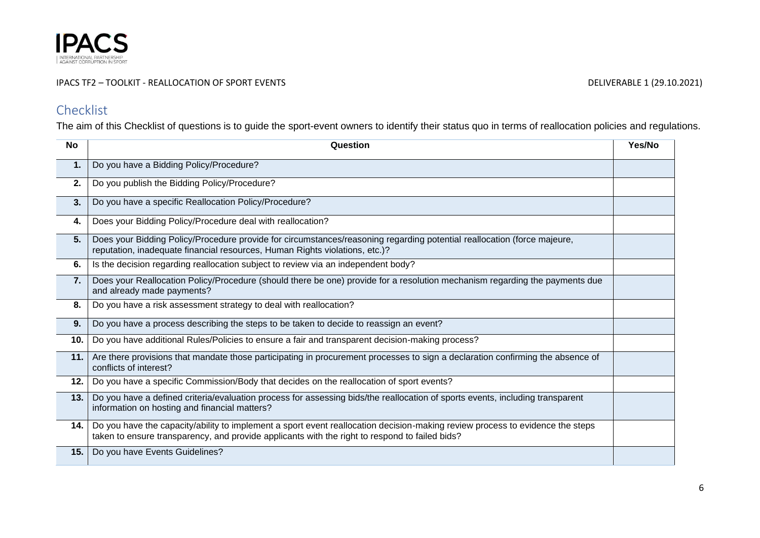

## IPACS TF2 – TOOLKIT - REALLOCATION OF SPORT EVENTS **EXECUTES** 2001 1 2003 1 2003 1 2010 2021 DELIVERABLE 1 29.10.2021

# Checklist

The aim of this Checklist of questions is to guide the sport-event owners to identify their status quo in terms of reallocation policies and regulations.

| <b>No</b> | Question                                                                                                                                                                                                                        | Yes/No |
|-----------|---------------------------------------------------------------------------------------------------------------------------------------------------------------------------------------------------------------------------------|--------|
| 1.        | Do you have a Bidding Policy/Procedure?                                                                                                                                                                                         |        |
| 2.        | Do you publish the Bidding Policy/Procedure?                                                                                                                                                                                    |        |
| 3.        | Do you have a specific Reallocation Policy/Procedure?                                                                                                                                                                           |        |
| 4.        | Does your Bidding Policy/Procedure deal with reallocation?                                                                                                                                                                      |        |
| 5.        | Does your Bidding Policy/Procedure provide for circumstances/reasoning regarding potential reallocation (force majeure,<br>reputation, inadequate financial resources, Human Rights violations, etc.)?                          |        |
| 6.        | Is the decision regarding reallocation subject to review via an independent body?                                                                                                                                               |        |
| 7.        | Does your Reallocation Policy/Procedure (should there be one) provide for a resolution mechanism regarding the payments due<br>and already made payments?                                                                       |        |
| 8.        | Do you have a risk assessment strategy to deal with reallocation?                                                                                                                                                               |        |
| 9.        | Do you have a process describing the steps to be taken to decide to reassign an event?                                                                                                                                          |        |
| 10.       | Do you have additional Rules/Policies to ensure a fair and transparent decision-making process?                                                                                                                                 |        |
| 11.       | Are there provisions that mandate those participating in procurement processes to sign a declaration confirming the absence of<br>conflicts of interest?                                                                        |        |
| 12.       | Do you have a specific Commission/Body that decides on the reallocation of sport events?                                                                                                                                        |        |
| 13.       | Do you have a defined criteria/evaluation process for assessing bids/the reallocation of sports events, including transparent<br>information on hosting and financial matters?                                                  |        |
| 14.1      | Do you have the capacity/ability to implement a sport event reallocation decision-making review process to evidence the steps<br>taken to ensure transparency, and provide applicants with the right to respond to failed bids? |        |
| 15.       | Do you have Events Guidelines?                                                                                                                                                                                                  |        |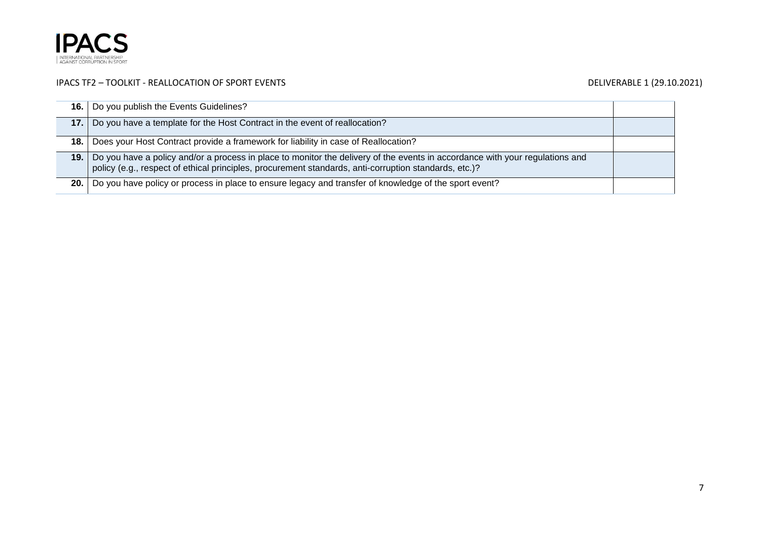

| 16. l | Do you publish the Events Guidelines?                                                                                                                                                                                                 |  |
|-------|---------------------------------------------------------------------------------------------------------------------------------------------------------------------------------------------------------------------------------------|--|
| 17. l | Do you have a template for the Host Contract in the event of reallocation?                                                                                                                                                            |  |
| 18.   | Does your Host Contract provide a framework for liability in case of Reallocation?                                                                                                                                                    |  |
| 19.   | Do you have a policy and/or a process in place to monitor the delivery of the events in accordance with your regulations and<br>policy (e.g., respect of ethical principles, procurement standards, anti-corruption standards, etc.)? |  |
| 20.   | Do you have policy or process in place to ensure legacy and transfer of knowledge of the sport event?                                                                                                                                 |  |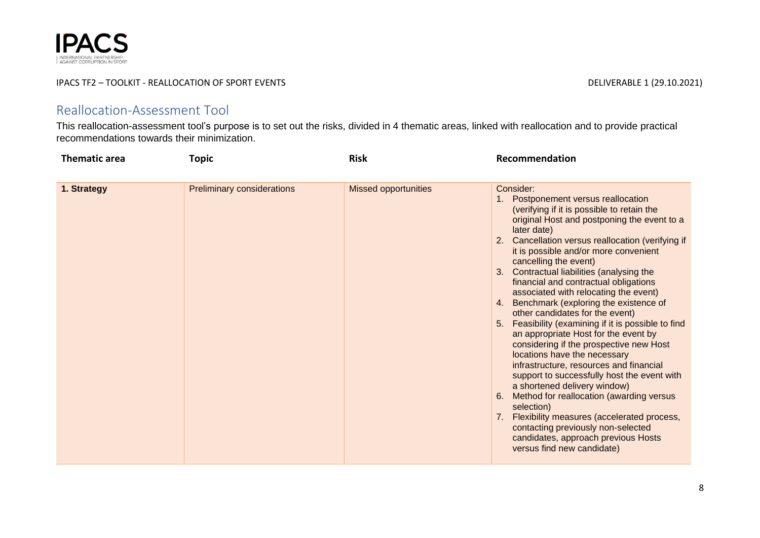

## Reallocation-Assessment Tool

This reallocation-assessment tool's purpose is to set out the risks, divided in 4 thematic areas, linked with reallocation and to provide practical recommendations towards their minimization.

| <b>Thematic area</b> | Topic                             | <b>Risk</b>                 | Recommendation                                                                                                                                                                                                                                                                                                                                                                                                                                                                                                                                                                                                                                                                                                                                                                                                                                                                                                                                                                                                                    |
|----------------------|-----------------------------------|-----------------------------|-----------------------------------------------------------------------------------------------------------------------------------------------------------------------------------------------------------------------------------------------------------------------------------------------------------------------------------------------------------------------------------------------------------------------------------------------------------------------------------------------------------------------------------------------------------------------------------------------------------------------------------------------------------------------------------------------------------------------------------------------------------------------------------------------------------------------------------------------------------------------------------------------------------------------------------------------------------------------------------------------------------------------------------|
| 1. Strategy          | <b>Preliminary considerations</b> | <b>Missed opportunities</b> | Consider:<br>1. Postponement versus reallocation<br>(verifying if it is possible to retain the<br>original Host and postponing the event to a<br>later date)<br>2. Cancellation versus reallocation (verifying if<br>it is possible and/or more convenient<br>cancelling the event)<br>3. Contractual liabilities (analysing the<br>financial and contractual obligations<br>associated with relocating the event)<br>4. Benchmark (exploring the existence of<br>other candidates for the event)<br>5. Feasibility (examining if it is possible to find<br>an appropriate Host for the event by<br>considering if the prospective new Host<br>locations have the necessary<br>infrastructure, resources and financial<br>support to successfully host the event with<br>a shortened delivery window)<br>Method for reallocation (awarding versus<br>6.<br>selection)<br>7. Flexibility measures (accelerated process,<br>contacting previously non-selected<br>candidates, approach previous Hosts<br>versus find new candidate) |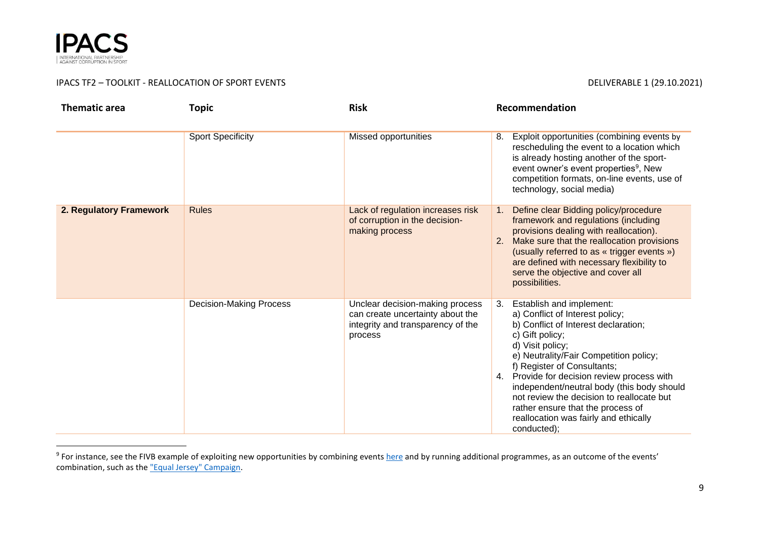

## IPACS TF2 – TOOLKIT - REALLOCATION OF SPORT EVENTS **EXECUTED A SECOND TEAM CONTROL** DELIVERABLE 1 (29.10.2021)

| <b>Thematic area</b>    | <b>Topic</b>                   | <b>Risk</b>                                                                                                         | Recommendation                                                                                                                                                                                                                                                                                                                                                                                                                                                   |
|-------------------------|--------------------------------|---------------------------------------------------------------------------------------------------------------------|------------------------------------------------------------------------------------------------------------------------------------------------------------------------------------------------------------------------------------------------------------------------------------------------------------------------------------------------------------------------------------------------------------------------------------------------------------------|
|                         | <b>Sport Specificity</b>       | <b>Missed opportunities</b>                                                                                         | Exploit opportunities (combining events by<br>8.<br>rescheduling the event to a location which<br>is already hosting another of the sport-<br>event owner's event properties <sup>9</sup> , New<br>competition formats, on-line events, use of<br>technology, social media)                                                                                                                                                                                      |
| 2. Regulatory Framework | <b>Rules</b>                   | Lack of regulation increases risk<br>of corruption in the decision-<br>making process                               | Define clear Bidding policy/procedure<br>1 <sub>1</sub><br>framework and regulations (including<br>provisions dealing with reallocation).<br>2. Make sure that the reallocation provisions<br>(usually referred to as « trigger events »)<br>are defined with necessary flexibility to<br>serve the objective and cover all<br>possibilities.                                                                                                                    |
|                         | <b>Decision-Making Process</b> | Unclear decision-making process<br>can create uncertainty about the<br>integrity and transparency of the<br>process | Establish and implement:<br>3.<br>a) Conflict of Interest policy;<br>b) Conflict of Interest declaration;<br>c) Gift policy;<br>d) Visit policy;<br>e) Neutrality/Fair Competition policy;<br>f) Register of Consultants;<br>4. Provide for decision review process with<br>independent/neutral body (this body should<br>not review the decision to reallocate but<br>rather ensure that the process of<br>reallocation was fairly and ethically<br>conducted): |

<sup>&</sup>lt;sup>9</sup> For instance, see the FIVB example of exploiting new opportunities by combining events <u>[here](https://www.fivb.com/en/about/news/vnl-2021-life-in-the-bubble?id=93488)</u> and by running additional programmes, as an outcome of the events' combination, such as the ["Equal Jersey" Campaign.](https://en.volleyballworld.com/news/initiative-to-champion-gender-equality-volleyball-world-launches-the-equal-jerse)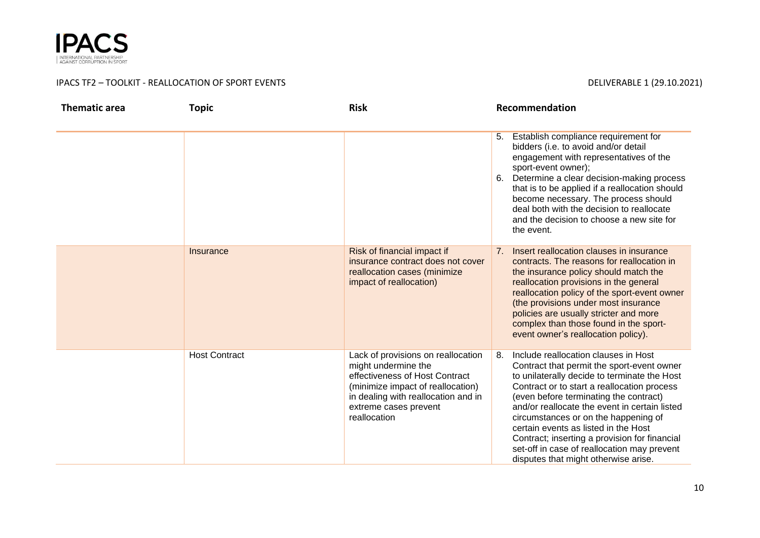

| <b>Thematic area</b> | <b>Topic</b>         | <b>Risk</b>                                                                                                                                                                                                      | Recommendation                                                                                                                                                                                                                                                                                                                                                                                                                                                                                             |
|----------------------|----------------------|------------------------------------------------------------------------------------------------------------------------------------------------------------------------------------------------------------------|------------------------------------------------------------------------------------------------------------------------------------------------------------------------------------------------------------------------------------------------------------------------------------------------------------------------------------------------------------------------------------------------------------------------------------------------------------------------------------------------------------|
|                      |                      |                                                                                                                                                                                                                  | Establish compliance requirement for<br>5.<br>bidders (i.e. to avoid and/or detail<br>engagement with representatives of the<br>sport-event owner);<br>Determine a clear decision-making process<br>6.<br>that is to be applied if a reallocation should<br>become necessary. The process should<br>deal both with the decision to reallocate<br>and the decision to choose a new site for<br>the event.                                                                                                   |
|                      | Insurance            | Risk of financial impact if<br>insurance contract does not cover<br>reallocation cases (minimize<br>impact of reallocation)                                                                                      | Insert reallocation clauses in insurance<br>7.<br>contracts. The reasons for reallocation in<br>the insurance policy should match the<br>reallocation provisions in the general<br>reallocation policy of the sport-event owner<br>(the provisions under most insurance<br>policies are usually stricter and more<br>complex than those found in the sport-<br>event owner's reallocation policy).                                                                                                         |
|                      | <b>Host Contract</b> | Lack of provisions on reallocation<br>might undermine the<br>effectiveness of Host Contract<br>(minimize impact of reallocation)<br>in dealing with reallocation and in<br>extreme cases prevent<br>reallocation | Include reallocation clauses in Host<br>8.<br>Contract that permit the sport-event owner<br>to unilaterally decide to terminate the Host<br>Contract or to start a reallocation process<br>(even before terminating the contract)<br>and/or reallocate the event in certain listed<br>circumstances or on the happening of<br>certain events as listed in the Host<br>Contract; inserting a provision for financial<br>set-off in case of reallocation may prevent<br>disputes that might otherwise arise. |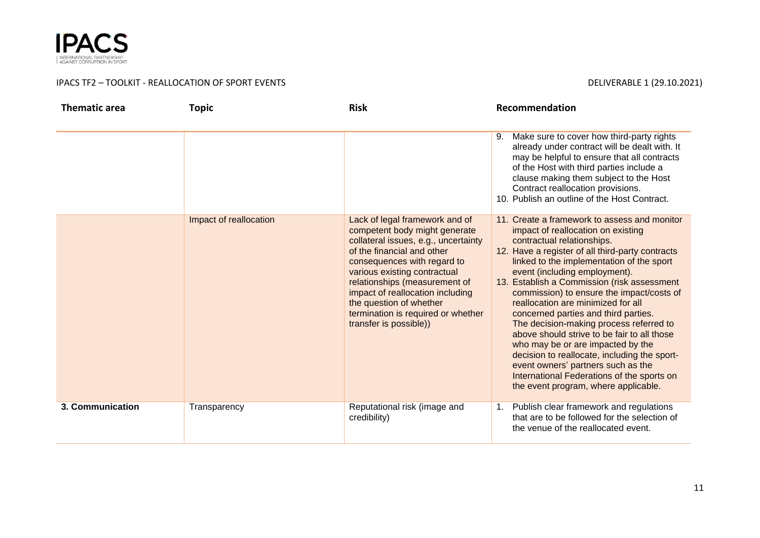

| <b>Thematic area</b> | <b>Topic</b>           | <b>Risk</b>                                                                                                                                                                                                                                                                                                                                                          | Recommendation                                                                                                                                                                                                                                                                                                                                                                                                                                                                                                                                                                                                                                                                                                                          |
|----------------------|------------------------|----------------------------------------------------------------------------------------------------------------------------------------------------------------------------------------------------------------------------------------------------------------------------------------------------------------------------------------------------------------------|-----------------------------------------------------------------------------------------------------------------------------------------------------------------------------------------------------------------------------------------------------------------------------------------------------------------------------------------------------------------------------------------------------------------------------------------------------------------------------------------------------------------------------------------------------------------------------------------------------------------------------------------------------------------------------------------------------------------------------------------|
|                      |                        |                                                                                                                                                                                                                                                                                                                                                                      | Make sure to cover how third-party rights<br>9.<br>already under contract will be dealt with. It<br>may be helpful to ensure that all contracts<br>of the Host with third parties include a<br>clause making them subject to the Host<br>Contract reallocation provisions.<br>10. Publish an outline of the Host Contract.                                                                                                                                                                                                                                                                                                                                                                                                              |
|                      | Impact of reallocation | Lack of legal framework and of<br>competent body might generate<br>collateral issues, e.g., uncertainty<br>of the financial and other<br>consequences with regard to<br>various existing contractual<br>relationships (measurement of<br>impact of reallocation including<br>the question of whether<br>termination is required or whether<br>transfer is possible)) | 11. Create a framework to assess and monitor<br>impact of reallocation on existing<br>contractual relationships.<br>12. Have a register of all third-party contracts<br>linked to the implementation of the sport<br>event (including employment).<br>13. Establish a Commission (risk assessment<br>commission) to ensure the impact/costs of<br>reallocation are minimized for all<br>concerned parties and third parties.<br>The decision-making process referred to<br>above should strive to be fair to all those<br>who may be or are impacted by the<br>decision to reallocate, including the sport-<br>event owners' partners such as the<br>International Federations of the sports on<br>the event program, where applicable. |
| 3. Communication     | Transparency           | Reputational risk (image and<br>credibility)                                                                                                                                                                                                                                                                                                                         | Publish clear framework and regulations<br>1.<br>that are to be followed for the selection of<br>the venue of the reallocated event.                                                                                                                                                                                                                                                                                                                                                                                                                                                                                                                                                                                                    |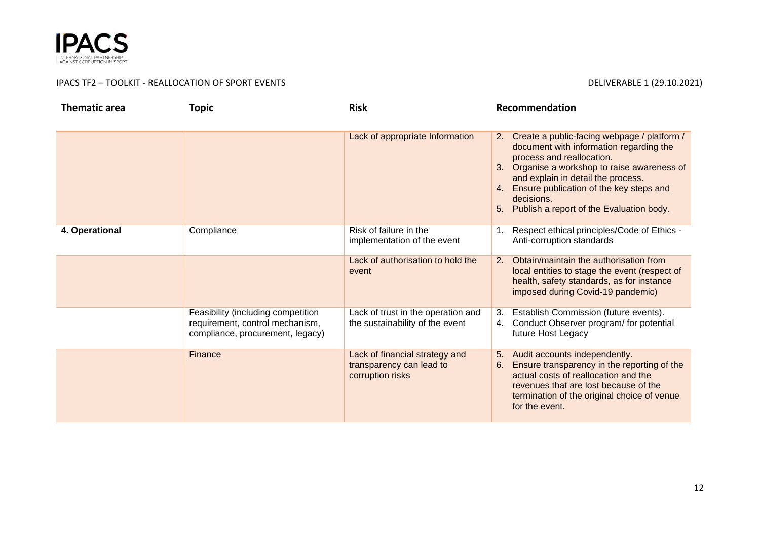

| <b>Thematic area</b> | <b>Topic</b>                                                                                              | <b>Risk</b>                                                                    | Recommendation                                                                                                                                                                                                                                                                                                                   |
|----------------------|-----------------------------------------------------------------------------------------------------------|--------------------------------------------------------------------------------|----------------------------------------------------------------------------------------------------------------------------------------------------------------------------------------------------------------------------------------------------------------------------------------------------------------------------------|
|                      |                                                                                                           | Lack of appropriate Information                                                | Create a public-facing webpage / platform /<br>2.<br>document with information regarding the<br>process and reallocation.<br>3. Organise a workshop to raise awareness of<br>and explain in detail the process.<br>Ensure publication of the key steps and<br>4.<br>decisions.<br>Publish a report of the Evaluation body.<br>5. |
| 4. Operational       | Compliance                                                                                                | Risk of failure in the<br>implementation of the event                          | Respect ethical principles/Code of Ethics -<br>1.<br>Anti-corruption standards                                                                                                                                                                                                                                                   |
|                      |                                                                                                           | Lack of authorisation to hold the<br>event                                     | Obtain/maintain the authorisation from<br>2.<br>local entities to stage the event (respect of<br>health, safety standards, as for instance<br>imposed during Covid-19 pandemic)                                                                                                                                                  |
|                      | Feasibility (including competition<br>requirement, control mechanism,<br>compliance, procurement, legacy) | Lack of trust in the operation and<br>the sustainability of the event          | Establish Commission (future events).<br>3.<br>Conduct Observer program/ for potential<br>4.<br>future Host Legacy                                                                                                                                                                                                               |
|                      | Finance                                                                                                   | Lack of financial strategy and<br>transparency can lead to<br>corruption risks | Audit accounts independently.<br>5.<br>Ensure transparency in the reporting of the<br>6.<br>actual costs of reallocation and the<br>revenues that are lost because of the<br>termination of the original choice of venue<br>for the event.                                                                                       |